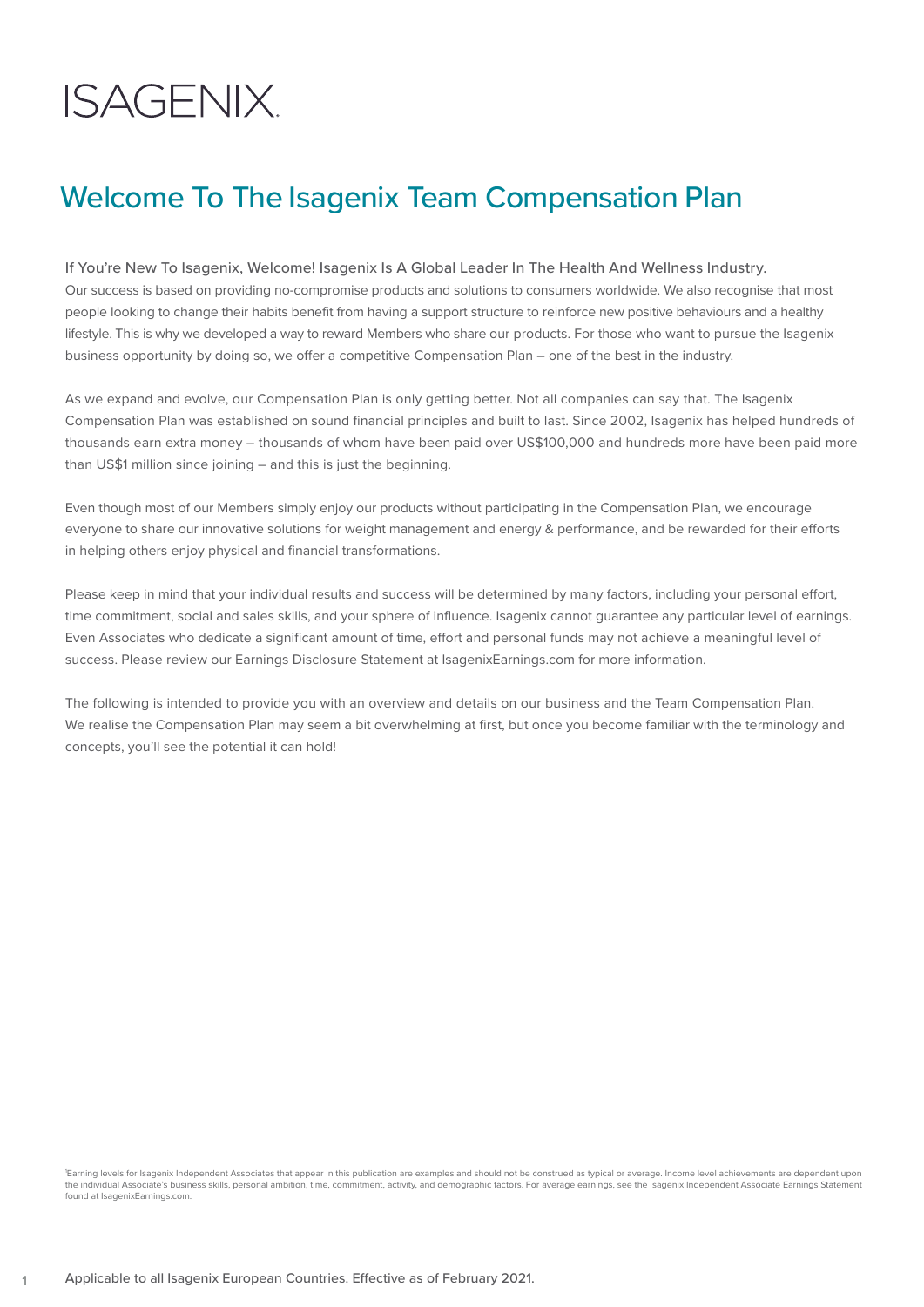# **ISAGENIX.**

## Welcome To The Isagenix Team Compensation Plan

If You're New To Isagenix, Welcome! Isagenix Is A Global Leader In The Health And Wellness Industry. Our success is based on providing no-compromise products and solutions to consumers worldwide. We also recognise that most people looking to change their habits benefit from having a support structure to reinforce new positive behaviours and a healthy lifestyle. This is why we developed a way to reward Members who share our products. For those who want to pursue the Isagenix business opportunity by doing so, we offer a competitive Compensation Plan – one of the best in the industry.

As we expand and evolve, our Compensation Plan is only getting better. Not all companies can say that. The Isagenix Compensation Plan was established on sound financial principles and built to last. Since 2002, Isagenix has helped hundreds of thousands earn extra money – thousands of whom have been paid over US\$100,000 and hundreds more have been paid more than US\$1 million since joining – and this is just the beginning.

Even though most of our Members simply enjoy our products without participating in the Compensation Plan, we encourage everyone to share our innovative solutions for weight management and energy & performance, and be rewarded for their efforts in helping others enjoy physical and financial transformations.

Please keep in mind that your individual results and success will be determined by many factors, including your personal effort, time commitment, social and sales skills, and your sphere of influence. Isagenix cannot guarantee any particular level of earnings. Even Associates who dedicate a significant amount of time, effort and personal funds may not achieve a meaningful level of success. Please review our Earnings Disclosure Statement at IsagenixEarnings.com for more information.

The following is intended to provide you with an overview and details on our business and the Team Compensation Plan. We realise the Compensation Plan may seem a bit overwhelming at first, but once you become familiar with the terminology and concepts, you'll see the potential it can hold!

1 Earning levels for Isagenix Independent Associates that appear in this publication are examples and should not be construed as typical or average. Income level achievements are dependent upon the individual Associate's business skills, personal ambition, time, commitment, activity, and demographic factors. For average earnings, see the Isagenix Independent Associate Earnings Statement found at IsagenixEarnings.com.

1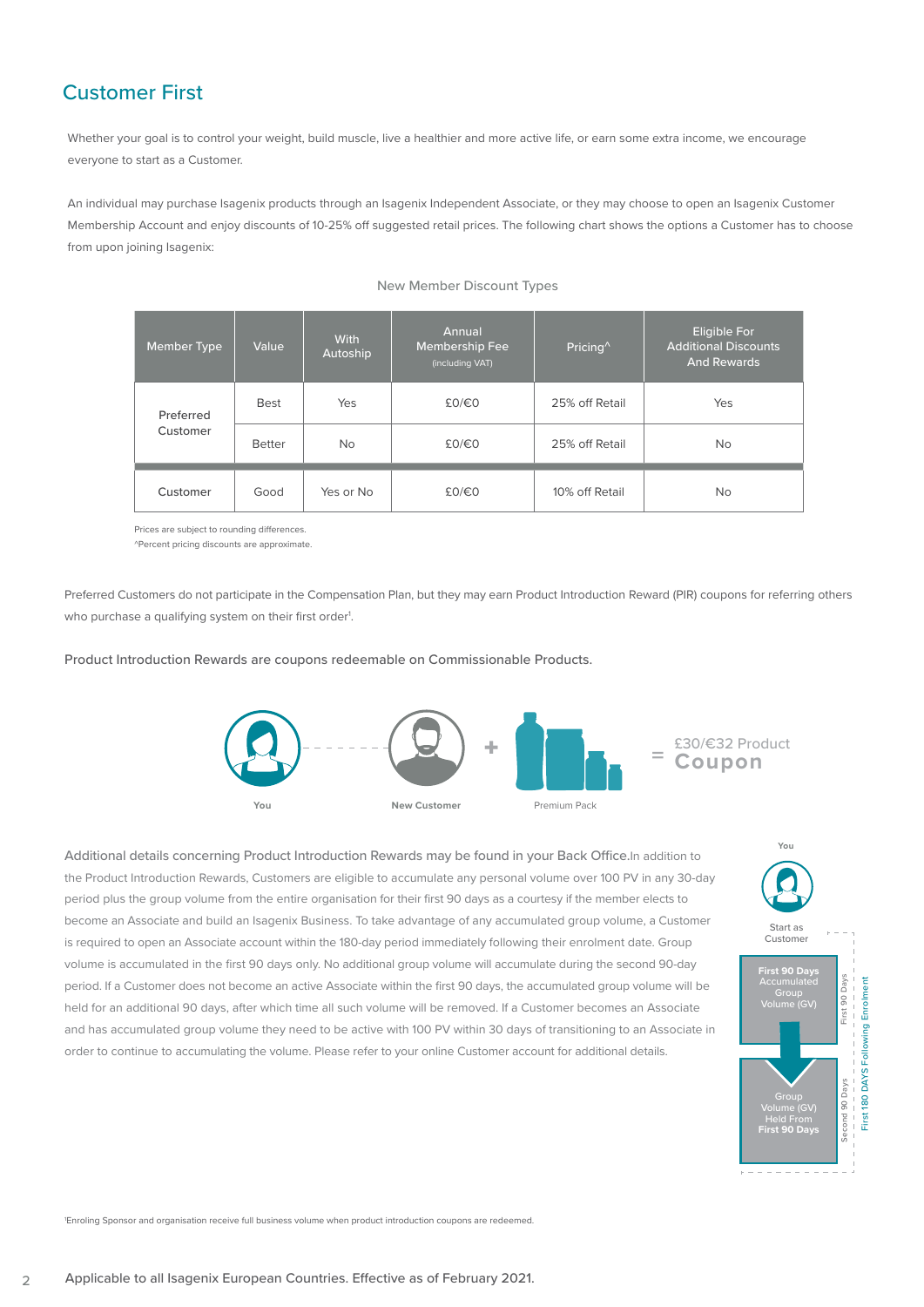## Customer First

Whether your goal is to control your weight, build muscle, live a healthier and more active life, or earn some extra income, we encourage everyone to start as a Customer.

An individual may purchase Isagenix products through an Isagenix Independent Associate, or they may choose to open an Isagenix Customer Membership Account and enjoy discounts of 10-25% off suggested retail prices. The following chart shows the options a Customer has to choose from upon joining Isagenix:

| Member Type           | Value         | With<br>Autoship | Annual<br><b>Membership Fee</b><br>(including VAT) | Pricing <sup>^</sup> | <b>Eligible For</b><br><b>Additional Discounts</b><br>And Rewards |
|-----------------------|---------------|------------------|----------------------------------------------------|----------------------|-------------------------------------------------------------------|
| Preferred<br>Customer | <b>Best</b>   | Yes              | £0/€0                                              | 25% off Retail       | Yes                                                               |
|                       | <b>Better</b> | <b>No</b>        | £0/€0                                              | 25% off Retail       | <b>No</b>                                                         |
| Customer              | Good          | Yes or No        | £0/€0                                              | 10% off Retail       | <b>No</b>                                                         |

#### New Member Discount Types

Prices are subject to rounding differences.

^Percent pricing discounts are approximate.

Preferred Customers do not participate in the Compensation Plan, but they may earn Product Introduction Reward (PIR) coupons for referring others who purchase a qualifying system on their first order<sup>1</sup>.

Product Introduction Rewards are coupons redeemable on Commissionable Products.



Additional details concerning Product Introduction Rewards may be found in your Back Office.In addition to the Product Introduction Rewards, Customers are eligible to accumulate any personal volume over 100 PV in any 30-day period plus the group volume from the entire organisation for their first 90 days as a courtesy if the member elects to become an Associate and build an Isagenix Business. To take advantage of any accumulated group volume, a Customer is required to open an Associate account within the 180-day period immediately following their enrolment date. Group volume is accumulated in the first 90 days only. No additional group volume will accumulate during the second 90-day period. If a Customer does not become an active Associate within the first 90 days, the accumulated group volume will be held for an additional 90 days, after which time all such volume will be removed. If a Customer becomes an Associate and has accumulated group volume they need to be active with 100 PV within 30 days of transitioning to an Associate in order to continue to accumulating the volume. Please refer to your online Customer account for additional details.



1 Enroling Sponsor and organisation receive full business volume when product introduction coupons are redeemed.

 $\overline{2}$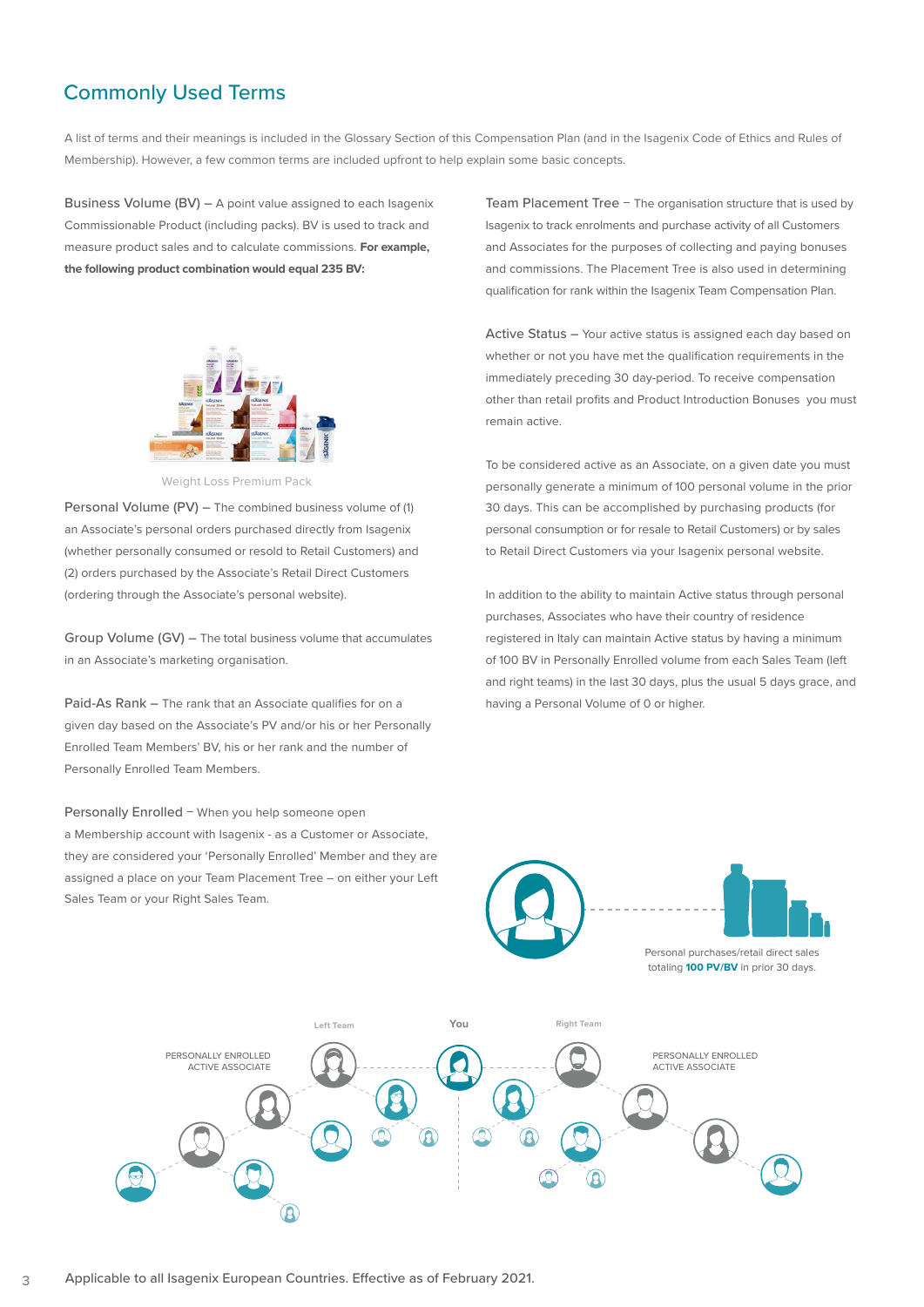## Commonly Used Terms

A list of terms and their meanings is included in the Glossary Section of this Compensation Plan (and in the Isagenix Code of Ethics and Rules of Membership). However, a few common terms are included upfront to help explain some basic concepts.

Business Volume (BV) – A point value assigned to each Isagenix Commissionable Product (including packs). BV is used to track and measure product sales and to calculate commissions. **For example, the following product combination would equal 235 BV:**



Weight Loss Premium Pack

Personal Volume (PV) – The combined business volume of (1) an Associate's personal orders purchased directly from Isagenix (whether personally consumed or resold to Retail Customers) and (2) orders purchased by the Associate's Retail Direct Customers (ordering through the Associate's personal website).

Group Volume (GV) – The total business volume that accumulates in an Associate's marketing organisation.

Paid-As Rank – The rank that an Associate qualifies for on a given day based on the Associate's PV and/or his or her Personally Enrolled Team Members' BV, his or her rank and the number of Personally Enrolled Team Members.

Personally Enrolled − When you help someone open a Membership account with Isagenix - as a Customer or Associate, they are considered your 'Personally Enrolled' Member and they are assigned a place on your Team Placement Tree – on either your Left Sales Team or your Right Sales Team.

Team Placement Tree − The organisation structure that is used by Isagenix to track enrolments and purchase activity of all Customers and Associates for the purposes of collecting and paying bonuses and commissions. The Placement Tree is also used in determining qualification for rank within the Isagenix Team Compensation Plan.

Active Status – Your active status is assigned each day based on whether or not you have met the qualification requirements in the immediately preceding 30 day-period. To receive compensation other than retail profits and Product Introduction Bonuses you must remain active.

To be considered active as an Associate, on a given date you must personally generate a minimum of 100 personal volume in the prior 30 days. This can be accomplished by purchasing products (for personal consumption or for resale to Retail Customers) or by sales to Retail Direct Customers via your Isagenix personal website.

In addition to the ability to maintain Active status through personal purchases, Associates who have their country of residence registered in Italy can maintain Active status by having a minimum of 100 BV in Personally Enrolled volume from each Sales Team (left and right teams) in the last 30 days, plus the usual 5 days grace, and having a Personal Volume of 0 or higher.





Personal purchases/retail direct sales totaling **100 PV/BV** in prior 30 days.

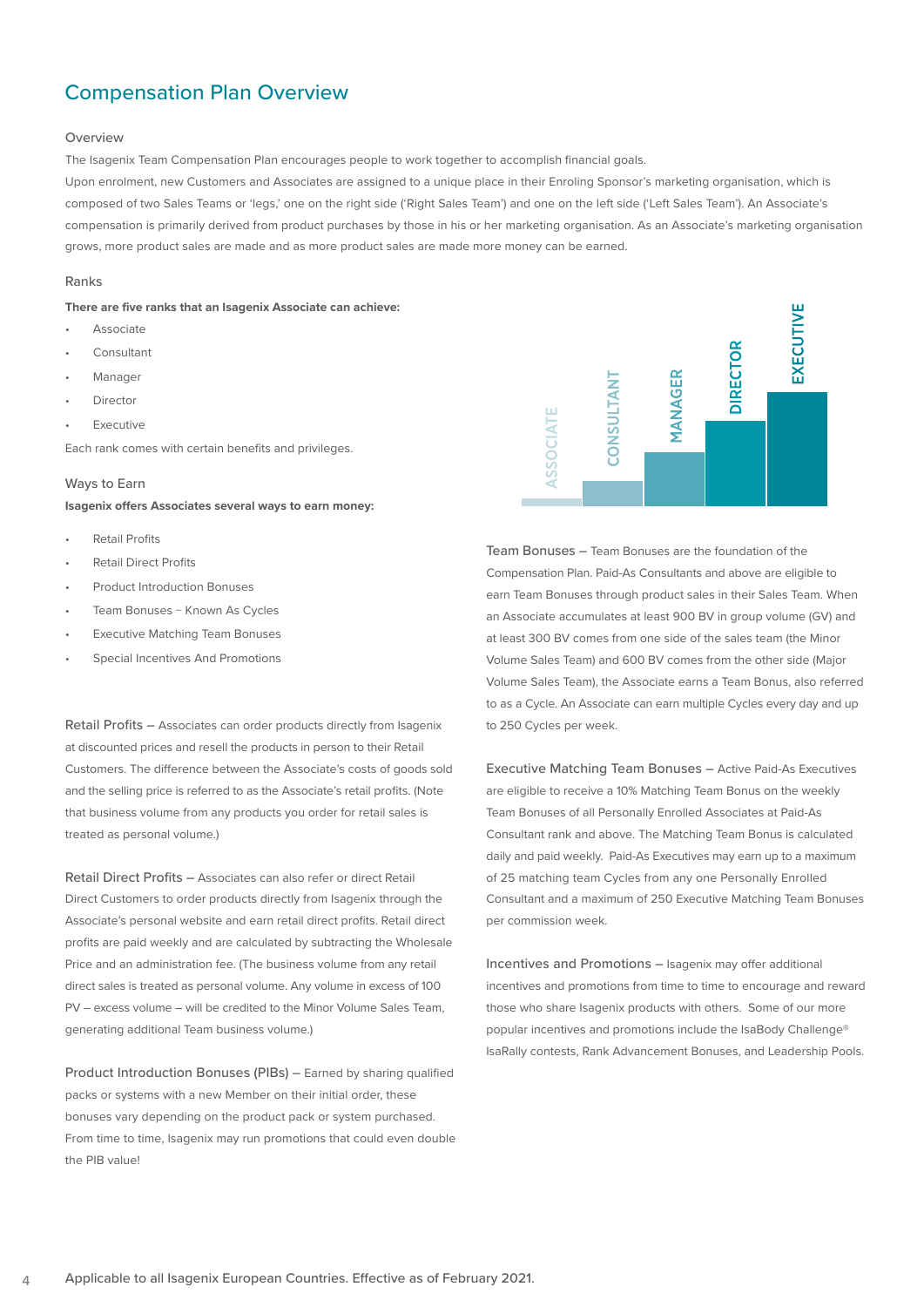## Compensation Plan Overview

#### **Overview**

The Isagenix Team Compensation Plan encourages people to work together to accomplish financial goals.

Upon enrolment, new Customers and Associates are assigned to a unique place in their Enroling Sponsor's marketing organisation, which is composed of two Sales Teams or 'legs,' one on the right side ('Right Sales Team') and one on the left side ('Left Sales Team'). An Associate's compensation is primarily derived from product purchases by those in his or her marketing organisation. As an Associate's marketing organisation grows, more product sales are made and as more product sales are made more money can be earned.

#### Ranks

**There are five ranks that an Isagenix Associate can achieve:**

- Associate
- Consultant
- Manager
- **Director**
- **Executive**

Each rank comes with certain benefits and privileges.

#### Ways to Earn

**Isagenix offers Associates several ways to earn money:**

- Retail Profits
- Retail Direct Profits
- Product Introduction Bonuses
- Team Bonuses − Known As Cycles
- **Executive Matching Team Bonuses**
- Special Incentives And Promotions

Retail Profits – Associates can order products directly from Isagenix at discounted prices and resell the products in person to their Retail Customers. The difference between the Associate's costs of goods sold and the selling price is referred to as the Associate's retail profits. (Note that business volume from any products you order for retail sales is treated as personal volume.)

Retail Direct Profits – Associates can also refer or direct Retail Direct Customers to order products directly from Isagenix through the Associate's personal website and earn retail direct profits. Retail direct profits are paid weekly and are calculated by subtracting the Wholesale Price and an administration fee. (The business volume from any retail direct sales is treated as personal volume. Any volume in excess of 100 PV – excess volume – will be credited to the Minor Volume Sales Team, generating additional Team business volume.)

Product Introduction Bonuses (PIBs) – Earned by sharing qualified packs or systems with a new Member on their initial order, these bonuses vary depending on the product pack or system purchased. From time to time, Isagenix may run promotions that could even double the PIB value!



Team Bonuses – Team Bonuses are the foundation of the Compensation Plan. Paid-As Consultants and above are eligible to earn Team Bonuses through product sales in their Sales Team. When an Associate accumulates at least 900 BV in group volume (GV) and at least 300 BV comes from one side of the sales team (the Minor Volume Sales Team) and 600 BV comes from the other side (Major Volume Sales Team), the Associate earns a Team Bonus, also referred to as a Cycle. An Associate can earn multiple Cycles every day and up to 250 Cycles per week.

Executive Matching Team Bonuses – Active Paid-As Executives are eligible to receive a 10% Matching Team Bonus on the weekly Team Bonuses of all Personally Enrolled Associates at Paid-As Consultant rank and above. The Matching Team Bonus is calculated daily and paid weekly. Paid-As Executives may earn up to a maximum of 25 matching team Cycles from any one Personally Enrolled Consultant and a maximum of 250 Executive Matching Team Bonuses per commission week.

Incentives and Promotions – Isagenix may offer additional incentives and promotions from time to time to encourage and reward those who share Isagenix products with others. Some of our more popular incentives and promotions include the IsaBody Challenge® IsaRally contests, Rank Advancement Bonuses, and Leadership Pools.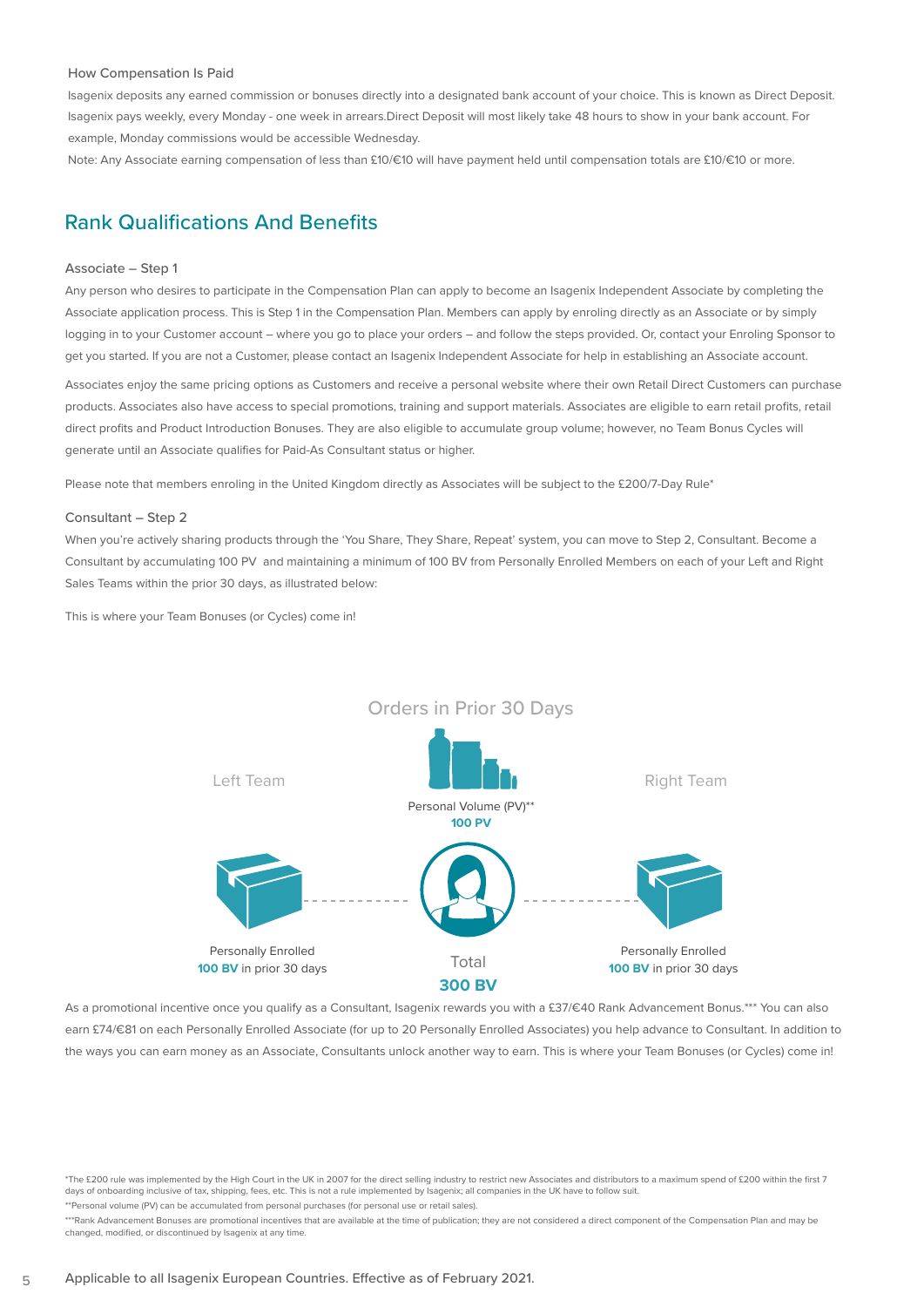#### How Compensation Is Paid

Isagenix deposits any earned commission or bonuses directly into a designated bank account of your choice. This is known as Direct Deposit. Isagenix pays weekly, every Monday - one week in arrears.Direct Deposit will most likely take 48 hours to show in your bank account. For example, Monday commissions would be accessible Wednesday.

Note: Any Associate earning compensation of less than £10/€10 will have payment held until compensation totals are £10/€10 or more.

## Rank Qualifications And Benefits

#### Associate – Step 1

Any person who desires to participate in the Compensation Plan can apply to become an Isagenix Independent Associate by completing the Associate application process. This is Step 1 in the Compensation Plan. Members can apply by enroling directly as an Associate or by simply logging in to your Customer account – where you go to place your orders – and follow the steps provided. Or, contact your Enroling Sponsor to get you started. If you are not a Customer, please contact an Isagenix Independent Associate for help in establishing an Associate account.

Associates enjoy the same pricing options as Customers and receive a personal website where their own Retail Direct Customers can purchase products. Associates also have access to special promotions, training and support materials. Associates are eligible to earn retail profits, retail direct profits and Product Introduction Bonuses. They are also eligible to accumulate group volume; however, no Team Bonus Cycles will generate until an Associate qualifies for Paid-As Consultant status or higher.

Please note that members enroling in the United Kingdom directly as Associates will be subject to the £200/7-Day Rule\*

#### Consultant – Step 2

When you're actively sharing products through the 'You Share, They Share, Repeat' system, you can move to Step 2, Consultant. Become a Consultant by accumulating 100 PV and maintaining a minimum of 100 BV from Personally Enrolled Members on each of your Left and Right Sales Teams within the prior 30 days, as illustrated below:

This is where your Team Bonuses (or Cycles) come in!



As a promotional incentive once you qualify as a Consultant, Isagenix rewards you with a £37/€40 Rank Advancement Bonus.\*\*\* You can also earn £74/€81 on each Personally Enrolled Associate (for up to 20 Personally Enrolled Associates) you help advance to Consultant. In addition to the ways you can earn money as an Associate, Consultants unlock another way to earn. This is where your Team Bonuses (or Cycles) come in!

\*The £200 rule was implemented by the High Court in the UK in 2007 for the direct selling industry to restrict new Associates and distributors to a maximum spend of £200 within the first 7 days of onboarding inclusive of tax, shipping, fees, etc. This is not a rule implemented by Isagenix; all companies in the UK have to follow suit.

\*\*Personal volume (PV) can be accumulated from personal purchases (for personal use or retail sales).

\*Rank Advancement Bonuses are promotional incentives that are available at the time of publication; they are not considered a direct component of the Compensation Plan and may be changed, modified, or discontinued by Isagenix at any time.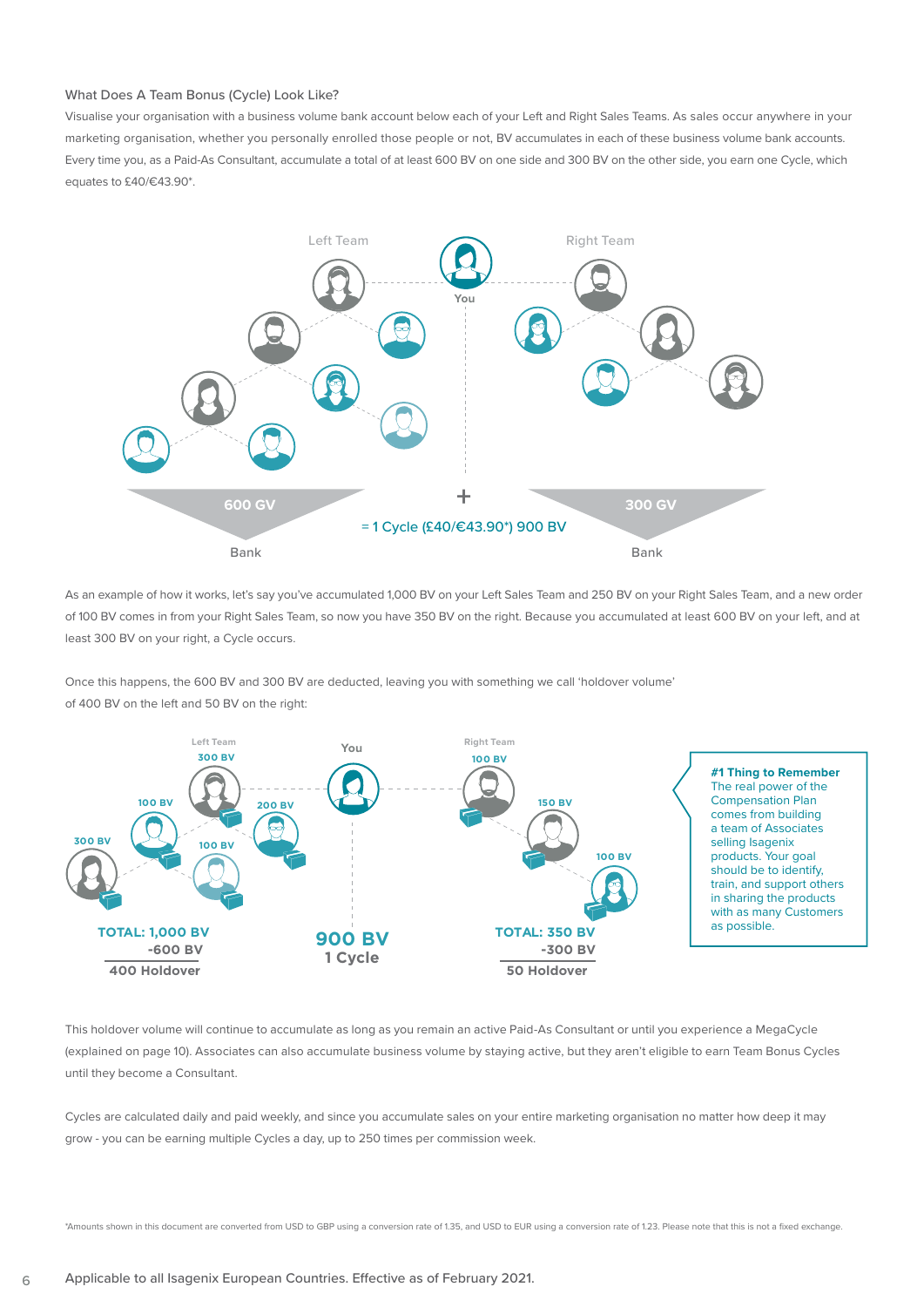#### What Does A Team Bonus (Cycle) Look Like?

Visualise your organisation with a business volume bank account below each of your Left and Right Sales Teams. As sales occur anywhere in your marketing organisation, whether you personally enrolled those people or not, BV accumulates in each of these business volume bank accounts. Every time you, as a Paid-As Consultant, accumulate a total of at least 600 BV on one side and 300 BV on the other side, you earn one Cycle, which equates to £40/€43.90\*.



As an example of how it works, let's say you've accumulated 1,000 BV on your Left Sales Team and 250 BV on your Right Sales Team, and a new order of 100 BV comes in from your Right Sales Team, so now you have 350 BV on the right. Because you accumulated at least 600 BV on your left, and at least 300 BV on your right, a Cycle occurs.

Once this happens, the 600 BV and 300 BV are deducted, leaving you with something we call 'holdover volume' of 400 BV on the left and 50 BV on the right:



This holdover volume will continue to accumulate as long as you remain an active Paid-As Consultant or until you experience a MegaCycle (explained on page 10). Associates can also accumulate business volume by staying active, but they aren't eligible to earn Team Bonus Cycles until they become a Consultant.

Cycles are calculated daily and paid weekly, and since you accumulate sales on your entire marketing organisation no matter how deep it may grow - you can be earning multiple Cycles a day, up to 250 times per commission week.

\*Amounts shown in this document are converted from USD to GBP using a conversion rate of 1.35, and USD to EUR using a conversion rate of 1.23. Please note that this is not a fixed exchange.

6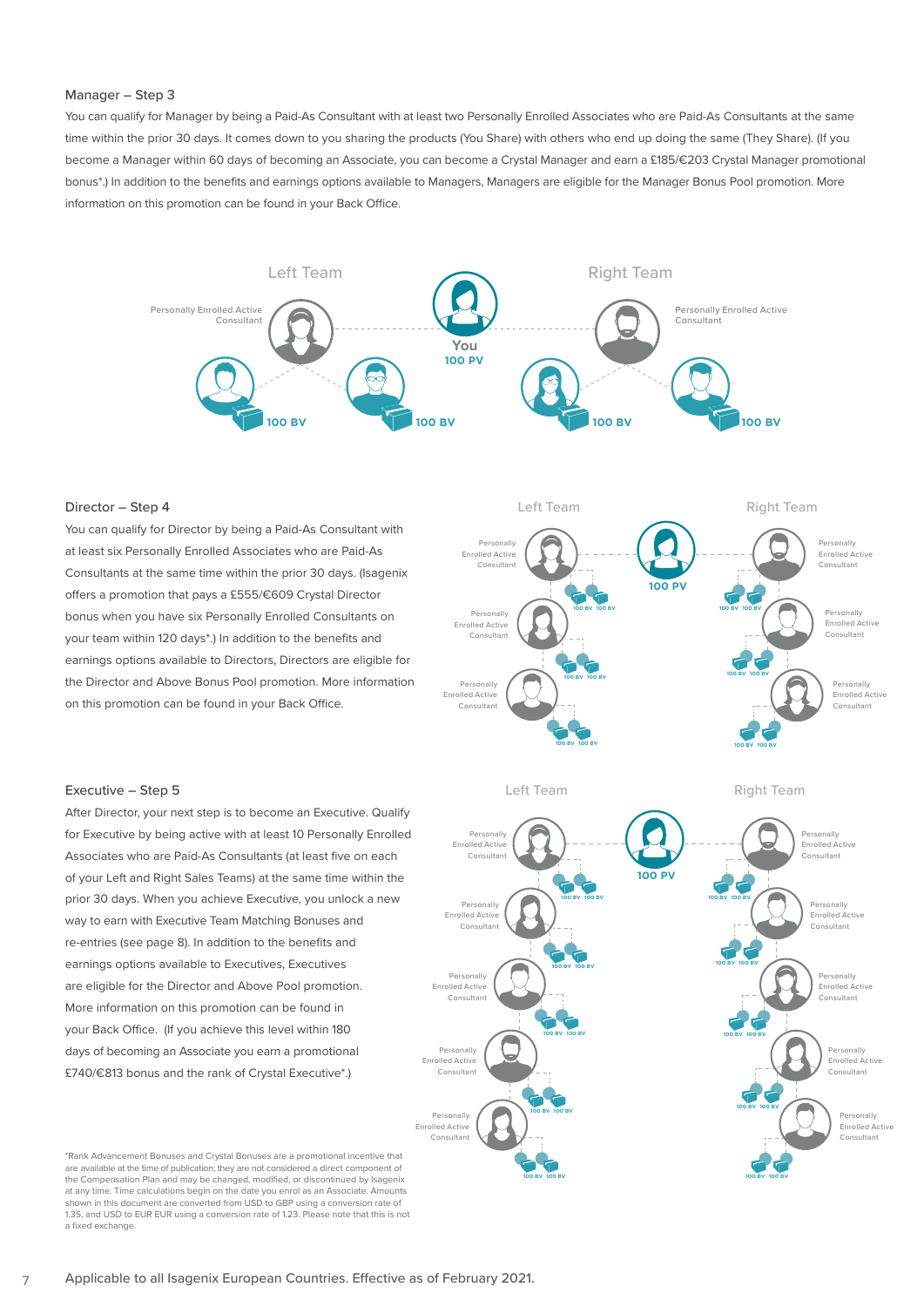#### Manager – Step 3

You can qualify for Manager by being a Paid-As Consultant with at least two Personally Enrolled Associates who are Paid-As Consultants at the same time within the prior 30 days. It comes down to you sharing the products (You Share) with others who end up doing the same (They Share). (If you become a Manager within 60 days of becoming an Associate, you can become a Crystal Manager and earn a £185/€203 Crystal Manager promotional bonus\*.) In addition to the benefits and earnings options available to Managers, Managers are eligible for the Manager Bonus Pool promotion. More information on this promotion can be found in your Back Office.



#### Director – Step 4

You can qualify for Director by being a Paid-As Consultant with at least six Personally Enrolled Associates who are Paid-As Consultants at the same time within the prior 30 days. (Isagenix offers a promotion that pays a £555/€609 Crystal Director bonus when you have six Personally Enrolled Consultants on your team within 120 days\*.) In addition to the benefits and earnings options available to Directors, Directors are eligible for the Director and Above Bonus Pool promotion. More information on this promotion can be found in your Back Office.



#### Left Team

Right Team



#### Executive – Step 5

After Director, your next step is to become an Executive. Qualify for Executive by being active with at least 10 Personally Enrolled Associates who are Paid-As Consultants (at least five on each of your Left and Right Sales Teams) at the same time within the prior 30 days. When you achieve Executive, you unlock a new way to earn with Executive Team Matching Bonuses and re-entries (see page 8). In addition to the benefits and earnings options available to Executives, Executives are eligible for the Director and Above Pool promotion. More information on this promotion can be found in your Back Office. (If you achieve this level within 180 days of becoming an Associate you earn a promotional £740/€813 bonus and the rank of Crystal Executive\*.)

\*Rank Advancement Bonuses and Crystal Bonuses are a promotional incentive that are available at the time of publication; they are not considered a direct component of the Compensation Plan and may be changed, modified, or discontinued by Isagenix at any time. Time calculations begin on the date you enrol as an Associate. Amounts shown in this document are converted from USD to GBP using a conversion rate of 1.35, and USD to EUR EUR using a conversion rate of 1.23. Please note that this is not a fixed exchange.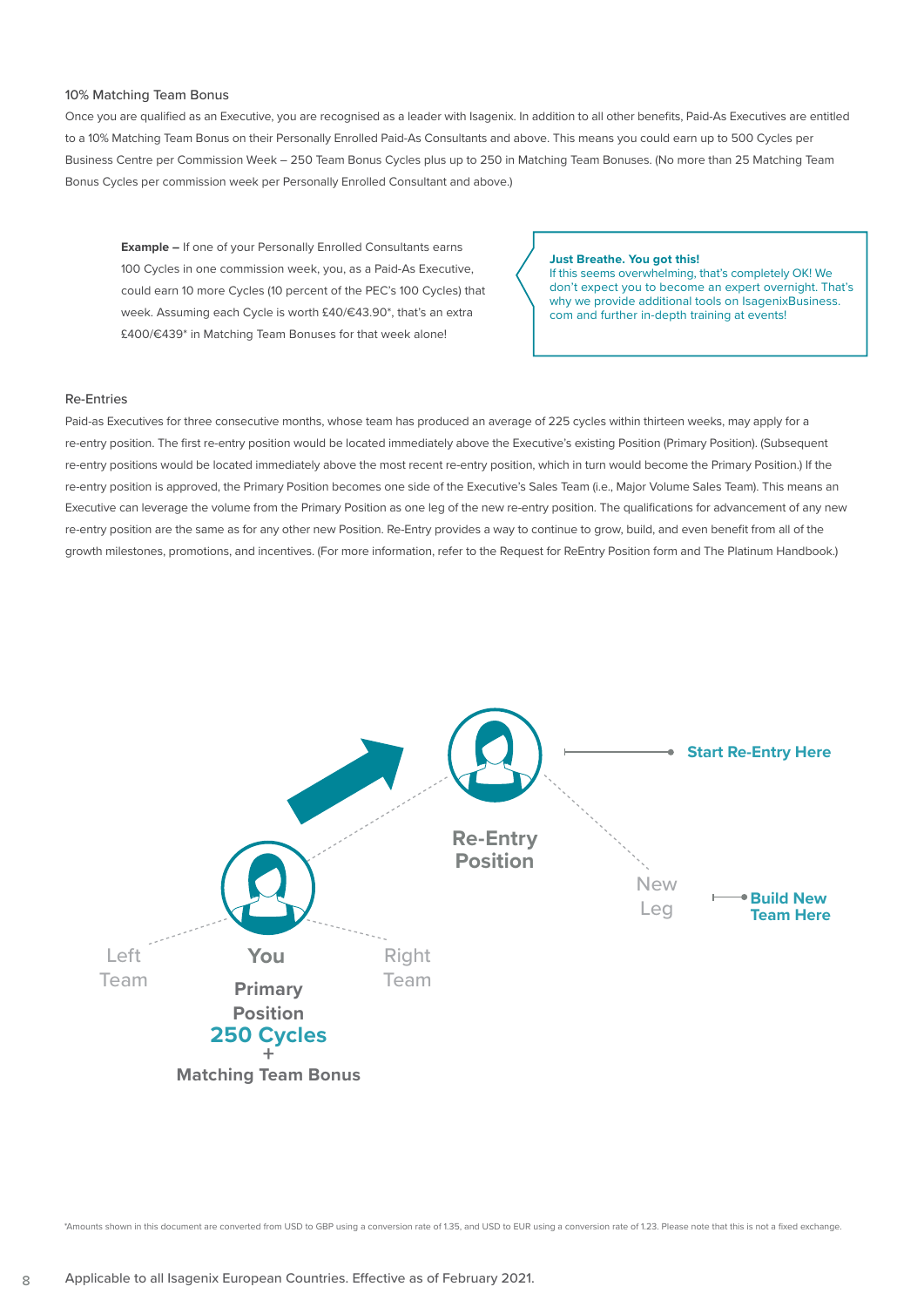#### 10% Matching Team Bonus

Once you are qualified as an Executive, you are recognised as a leader with Isagenix. In addition to all other benefits, Paid-As Executives are entitled to a 10% Matching Team Bonus on their Personally Enrolled Paid-As Consultants and above. This means you could earn up to 500 Cycles per Business Centre per Commission Week – 250 Team Bonus Cycles plus up to 250 in Matching Team Bonuses. (No more than 25 Matching Team Bonus Cycles per commission week per Personally Enrolled Consultant and above.)

**Example –** If one of your Personally Enrolled Consultants earns 100 Cycles in one commission week, you, as a Paid-As Executive, could earn 10 more Cycles (10 percent of the PEC's 100 Cycles) that week. Assuming each Cycle is worth £40/€43.90\*, that's an extra £400/€439\* in Matching Team Bonuses for that week alone!

**Just Breathe. You got this!** If this seems overwhelming, that's completely OK! We don't expect you to become an expert overnight. That's why we provide additional tools on IsagenixBusiness. com and further in-depth training at events!

#### Re-Entries

Paid-as Executives for three consecutive months, whose team has produced an average of 225 cycles within thirteen weeks, may apply for a re-entry position. The first re-entry position would be located immediately above the Executive's existing Position (Primary Position). (Subsequent re-entry positions would be located immediately above the most recent re-entry position, which in turn would become the Primary Position.) If the re-entry position is approved, the Primary Position becomes one side of the Executive's Sales Team (i.e., Major Volume Sales Team). This means an Executive can leverage the volume from the Primary Position as one leg of the new re-entry position. The qualifications for advancement of any new re-entry position are the same as for any other new Position. Re-Entry provides a way to continue to grow, build, and even benefit from all of the growth milestones, promotions, and incentives. (For more information, refer to the Request for ReEntry Position form and The Platinum Handbook.)



\*Amounts shown in this document are converted from USD to GBP using a conversion rate of 1.35, and USD to EUR using a conversion rate of 1.23. Please note that this is not a fixed exchange.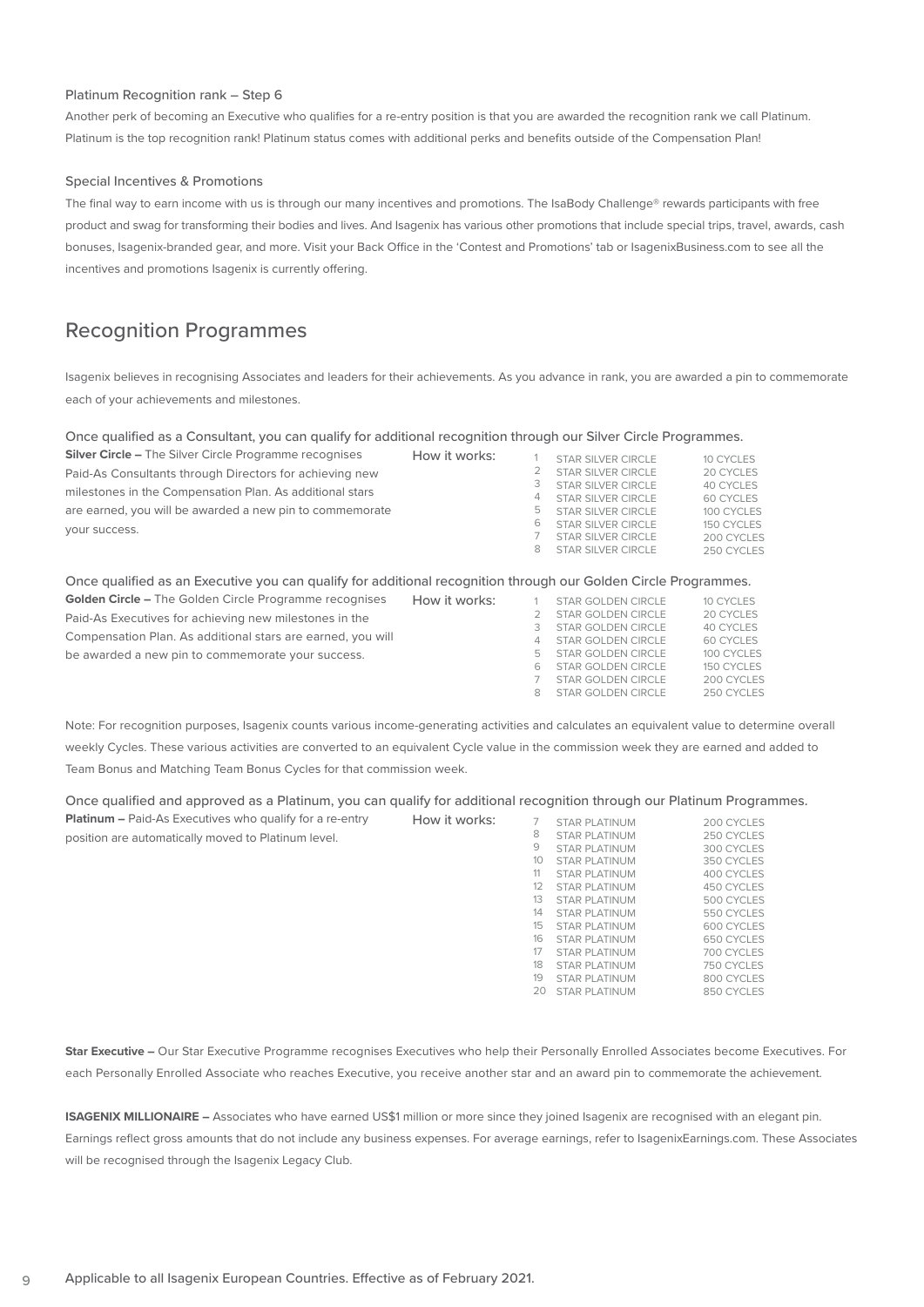#### Platinum Recognition rank – Step 6

Another perk of becoming an Executive who qualifies for a re-entry position is that you are awarded the recognition rank we call Platinum. Platinum is the top recognition rank! Platinum status comes with additional perks and benefits outside of the Compensation Plan!

#### Special Incentives & Promotions

The final way to earn income with us is through our many incentives and promotions. The IsaBody Challenge® rewards participants with free product and swag for transforming their bodies and lives. And Isagenix has various other promotions that include special trips, travel, awards, cash bonuses, Isagenix-branded gear, and more. Visit your Back Office in the 'Contest and Promotions' tab or IsagenixBusiness.com to see all the incentives and promotions Isagenix is currently offering.

## Recognition Programmes

Isagenix believes in recognising Associates and leaders for their achievements. As you advance in rank, you are awarded a pin to commemorate each of your achievements and milestones.

Once qualified as a Consultant, you can qualify for additional recognition through our Silver Circle Programmes.

| <b>Silver Circle – The Silver Circle Programme recognises</b> | How it works: |        | STAR SILVER CIRCLE                                                           | 10 CYCLES                              |
|---------------------------------------------------------------|---------------|--------|------------------------------------------------------------------------------|----------------------------------------|
| Paid-As Consultants through Directors for achieving new       |               |        | STAR SILVER CIRCLE                                                           | 20 CYCLES                              |
| milestones in the Compensation Plan. As additional stars      |               | З<br>4 | STAR SILVER CIRCLE<br>STAR SILVER CIRCLE                                     | 40 CYCLES<br>60 CYCLES                 |
| are earned, you will be awarded a new pin to commemorate      |               | Ь      | STAR SILVER CIRCLE                                                           | 100 CYCLES                             |
| your success.                                                 |               | 6<br>8 | STAR SILVER CIRCLE<br><b>STAR SILVER CIRCLE</b><br><b>STAR SILVER CIRCLE</b> | 150 CYCLES<br>200 CYCLES<br>250 CYCLES |

#### Once qualified as an Executive you can qualify for additional recognition through our Golden Circle Programmes.

| <b>Golden Circle – The Golden Circle Programme recognises</b> | How it works: |          | STAR GOLDEN CIRCLE | 10 CYCLES  |
|---------------------------------------------------------------|---------------|----------|--------------------|------------|
| Paid-As Executives for achieving new milestones in the        |               |          | STAR GOLDEN CIRCLE | 20 CYCLES  |
|                                                               |               |          | STAR GOLDEN CIRCLE | 40 CYCLES  |
| Compensation Plan. As additional stars are earned, you will   |               | $\Delta$ | STAR GOLDEN CIRCLE | 60 CYCLES  |
| be awarded a new pin to commemorate your success.             |               | -5       | STAR GOLDEN CIRCLE | 100 CYCLES |
|                                                               |               | 6        | STAR GOLDEN CIRCLE | 150 CYCLES |
|                                                               |               |          | STAR GOLDEN CIRCLE | 200 CYCLES |
|                                                               |               | 8        | STAR GOLDEN CIRCLE | 250 CYCLES |

Note: For recognition purposes, Isagenix counts various income-generating activities and calculates an equivalent value to determine overall weekly Cycles. These various activities are converted to an equivalent Cycle value in the commission week they are earned and added to Team Bonus and Matching Team Bonus Cycles for that commission week.

Once qualified and approved as a Platinum, you can qualify for additional recognition through our Platinum Programmes. **Platinum –** Paid-As Executives who qualify for a re-entry

| <b>Platinum - Paid-As Executives who qualify for a re-entry</b> | How it works: |    | <b>STAR PLATINUM</b> | 200 CYCLES |
|-----------------------------------------------------------------|---------------|----|----------------------|------------|
| position are automatically moved to Platinum level.             |               | 8  | <b>STAR PLATINUM</b> | 250 CYCLES |
|                                                                 |               | 9  | <b>STAR PLATINUM</b> | 300 CYCLES |
|                                                                 |               | 10 | <b>STAR PLATINUM</b> | 350 CYCLES |
|                                                                 |               | 11 | <b>STAR PLATINUM</b> | 400 CYCLES |
|                                                                 |               | 12 | <b>STAR PLATINUM</b> | 450 CYCLES |
|                                                                 |               | 13 | <b>STAR PLATINUM</b> | 500 CYCLES |
|                                                                 |               | 14 | <b>STAR PLATINUM</b> | 550 CYCLES |
|                                                                 |               | 15 | <b>STAR PLATINUM</b> | 600 CYCLES |
|                                                                 |               | 16 | <b>STAR PLATINUM</b> | 650 CYCLES |
|                                                                 |               | 17 | <b>STAR PLATINUM</b> | 700 CYCLES |
|                                                                 |               | 18 | <b>STAR PLATINUM</b> | 750 CYCLES |
|                                                                 |               | 19 | <b>STAR PLATINUM</b> | 800 CYCLES |
|                                                                 |               | 20 | <b>STAR PLATINUM</b> | 850 CYCLES |

**Star Executive –** Our Star Executive Programme recognises Executives who help their Personally Enrolled Associates become Executives. For each Personally Enrolled Associate who reaches Executive, you receive another star and an award pin to commemorate the achievement.

**ISAGENIX MILLIONAIRE –** Associates who have earned US\$1 million or more since they joined Isagenix are recognised with an elegant pin. Earnings reflect gross amounts that do not include any business expenses. For average earnings, refer to IsagenixEarnings.com. These Associates will be recognised through the Isagenix Legacy Club.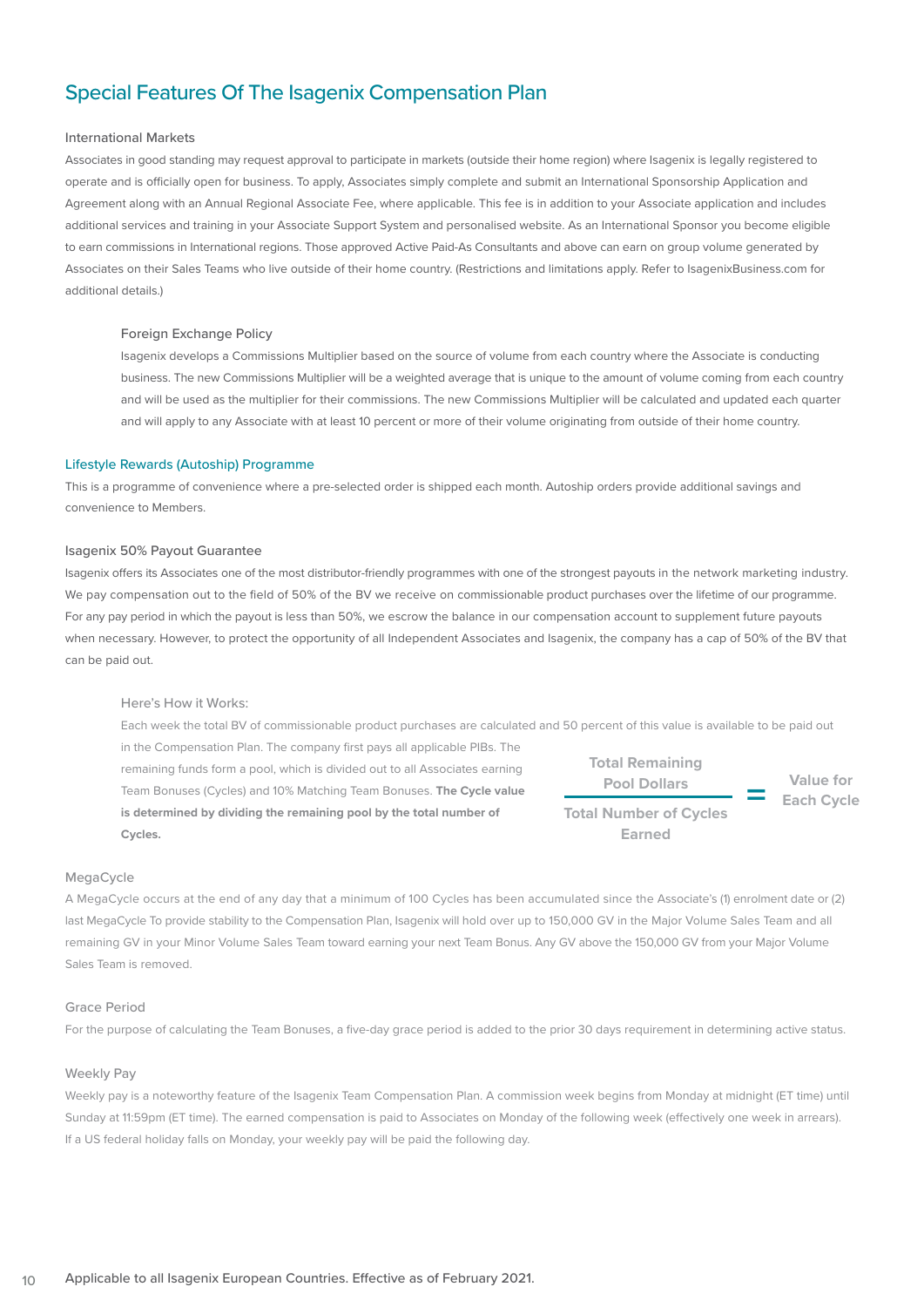## Special Features Of The Isagenix Compensation Plan

#### International Markets

Associates in good standing may request approval to participate in markets (outside their home region) where Isagenix is legally registered to operate and is officially open for business. To apply, Associates simply complete and submit an International Sponsorship Application and Agreement along with an Annual Regional Associate Fee, where applicable. This fee is in addition to your Associate application and includes additional services and training in your Associate Support System and personalised website. As an International Sponsor you become eligible to earn commissions in International regions. Those approved Active Paid-As Consultants and above can earn on group volume generated by Associates on their Sales Teams who live outside of their home country. (Restrictions and limitations apply. Refer to IsagenixBusiness.com for additional details.)

#### Foreign Exchange Policy

Isagenix develops a Commissions Multiplier based on the source of volume from each country where the Associate is conducting business. The new Commissions Multiplier will be a weighted average that is unique to the amount of volume coming from each country and will be used as the multiplier for their commissions. The new Commissions Multiplier will be calculated and updated each quarter and will apply to any Associate with at least 10 percent or more of their volume originating from outside of their home country.

#### Lifestyle Rewards (Autoship) Programme

This is a programme of convenience where a pre-selected order is shipped each month. Autoship orders provide additional savings and convenience to Members.

#### Isagenix 50% Payout Guarantee

Isagenix offers its Associates one of the most distributor-friendly programmes with one of the strongest payouts in the network marketing industry. We pay compensation out to the field of 50% of the BV we receive on commissionable product purchases over the lifetime of our programme. For any pay period in which the payout is less than 50%, we escrow the balance in our compensation account to supplement future payouts when necessary. However, to protect the opportunity of all Independent Associates and Isagenix, the company has a cap of 50% of the BV that can be paid out.

#### Here's How it Works:

Each week the total BV of commissionable product purchases are calculated and 50 percent of this value is available to be paid out in the Compensation Plan. The company first pays all applicable PIBs. The remaining funds form a pool, which is divided out to all Associates earning

Team Bonuses (Cycles) and 10% Matching Team Bonuses. **The Cycle value is determined by dividing the remaining pool by the total number of Cycles.**



#### MegaCycle

A MegaCycle occurs at the end of any day that a minimum of 100 Cycles has been accumulated since the Associate's (1) enrolment date or (2) last MegaCycle To provide stability to the Compensation Plan, Isagenix will hold over up to 150,000 GV in the Major Volume Sales Team and all remaining GV in your Minor Volume Sales Team toward earning your next Team Bonus. Any GV above the 150,000 GV from your Major Volume Sales Team is removed.

#### Grace Period

For the purpose of calculating the Team Bonuses, a five-day grace period is added to the prior 30 days requirement in determining active status.

#### Weekly Pay

Weekly pay is a noteworthy feature of the Isagenix Team Compensation Plan. A commission week begins from Monday at midnight (ET time) until Sunday at 11:59pm (ET time). The earned compensation is paid to Associates on Monday of the following week (effectively one week in arrears). If a US federal holiday falls on Monday, your weekly pay will be paid the following day.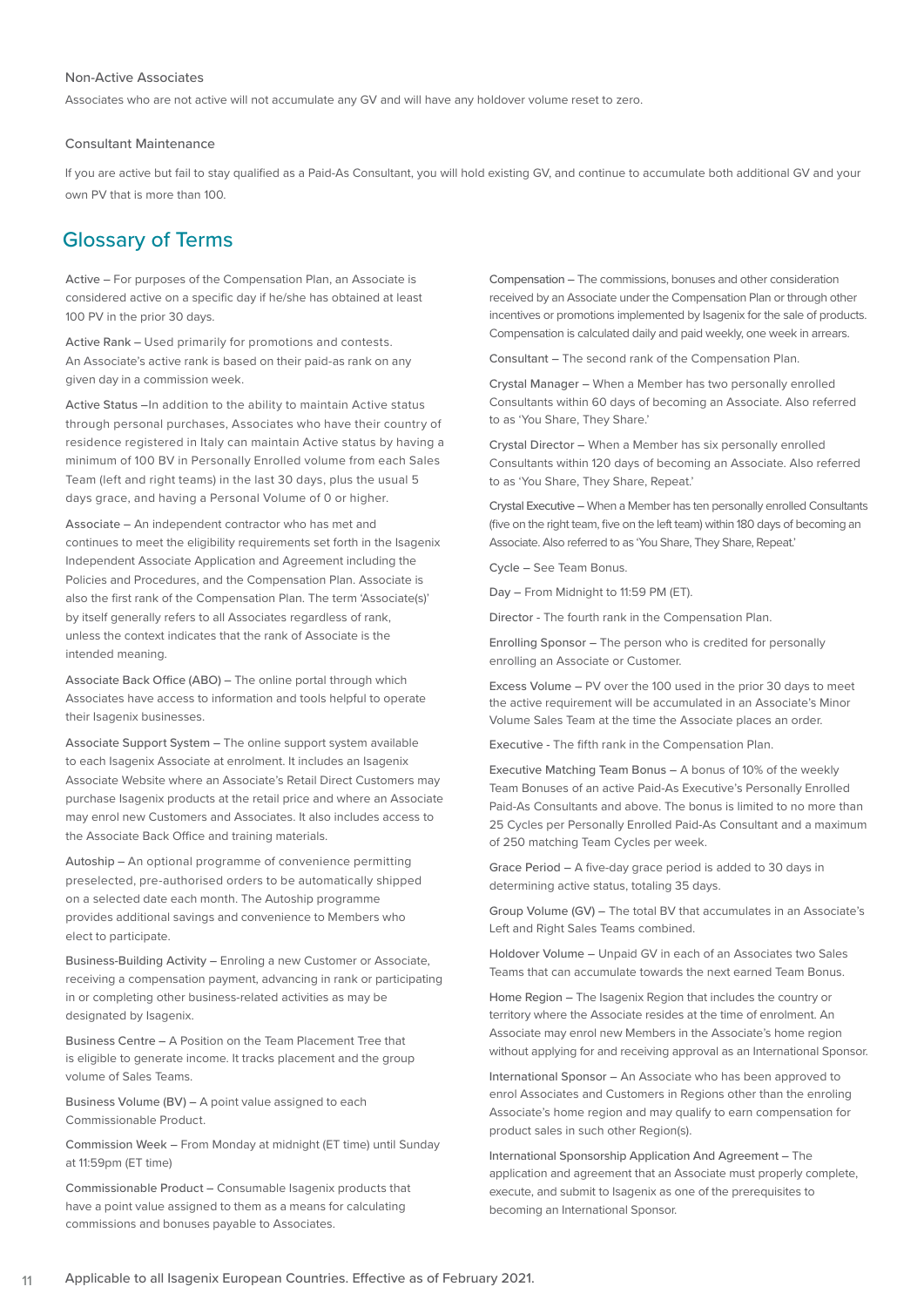#### Non-Active Associates

Associates who are not active will not accumulate any GV and will have any holdover volume reset to zero.

#### Consultant Maintenance

If you are active but fail to stay qualified as a Paid-As Consultant, you will hold existing GV, and continue to accumulate both additional GV and your own PV that is more than 100.

### Glossary of Terms

Active – For purposes of the Compensation Plan, an Associate is considered active on a specific day if he/she has obtained at least 100 PV in the prior 30 days.

Active Rank – Used primarily for promotions and contests. An Associate's active rank is based on their paid-as rank on any given day in a commission week.

Active Status – In addition to the ability to maintain Active status through personal purchases, Associates who have their country of residence registered in Italy can maintain Active status by having a minimum of 100 BV in Personally Enrolled volume from each Sales Team (left and right teams) in the last 30 days, plus the usual 5 days grace, and having a Personal Volume of 0 or higher.

Associate – An independent contractor who has met and continues to meet the eligibility requirements set forth in the Isagenix Independent Associate Application and Agreement including the Policies and Procedures, and the Compensation Plan. Associate is also the first rank of the Compensation Plan. The term 'Associate(s)' by itself generally refers to all Associates regardless of rank, unless the context indicates that the rank of Associate is the intended meaning.

Associate Back Office (ABO) – The online portal through which Associates have access to information and tools helpful to operate their Isagenix businesses.

Associate Support System – The online support system available to each Isagenix Associate at enrolment. It includes an Isagenix Associate Website where an Associate's Retail Direct Customers may purchase Isagenix products at the retail price and where an Associate may enrol new Customers and Associates. It also includes access to the Associate Back Office and training materials.

Autoship – An optional programme of convenience permitting preselected, pre-authorised orders to be automatically shipped on a selected date each month. The Autoship programme provides additional savings and convenience to Members who elect to participate.

Business-Building Activity – Enroling a new Customer or Associate, receiving a compensation payment, advancing in rank or participating in or completing other business-related activities as may be designated by Isagenix.

Business Centre – A Position on the Team Placement Tree that is eligible to generate income. It tracks placement and the group volume of Sales Teams.

Business Volume (BV) – A point value assigned to each Commissionable Product.

Commission Week – From Monday at midnight (ET time) until Sunday at 11:59pm (ET time)

Commissionable Product – Consumable Isagenix products that have a point value assigned to them as a means for calculating commissions and bonuses payable to Associates.

Compensation – The commissions, bonuses and other consideration received by an Associate under the Compensation Plan or through other incentives or promotions implemented by Isagenix for the sale of products. Compensation is calculated daily and paid weekly, one week in arrears.

Consultant – The second rank of the Compensation Plan.

Crystal Manager – When a Member has two personally enrolled Consultants within 60 days of becoming an Associate. Also referred to as 'You Share, They Share.'

Crystal Director – When a Member has six personally enrolled Consultants within 120 days of becoming an Associate. Also referred to as 'You Share, They Share, Repeat.'

Crystal Executive – When a Member has ten personally enrolled Consultants (five on the right team, five on the left team) within 180 days of becoming an Associate. Also referred to as 'You Share, They Share, Repeat.'

Cycle – See Team Bonus.

Day – From Midnight to 11:59 PM (ET).

Director - The fourth rank in the Compensation Plan.

Enrolling Sponsor – The person who is credited for personally enrolling an Associate or Customer.

Excess Volume – PV over the 100 used in the prior 30 days to meet the active requirement will be accumulated in an Associate's Minor Volume Sales Team at the time the Associate places an order.

Executive - The fifth rank in the Compensation Plan.

Executive Matching Team Bonus – A bonus of 10% of the weekly Team Bonuses of an active Paid-As Executive's Personally Enrolled Paid-As Consultants and above. The bonus is limited to no more than 25 Cycles per Personally Enrolled Paid-As Consultant and a maximum of 250 matching Team Cycles per week.

Grace Period – A five-day grace period is added to 30 days in determining active status, totaling 35 days.

Group Volume (GV) – The total BV that accumulates in an Associate's Left and Right Sales Teams combined.

Holdover Volume – Unpaid GV in each of an Associates two Sales Teams that can accumulate towards the next earned Team Bonus.

Home Region – The Isagenix Region that includes the country or territory where the Associate resides at the time of enrolment. An Associate may enrol new Members in the Associate's home region without applying for and receiving approval as an International Sponsor.

International Sponsor – An Associate who has been approved to enrol Associates and Customers in Regions other than the enroling Associate's home region and may qualify to earn compensation for product sales in such other Region(s).

International Sponsorship Application And Agreement – The application and agreement that an Associate must properly complete, execute, and submit to Isagenix as one of the prerequisites to becoming an International Sponsor.